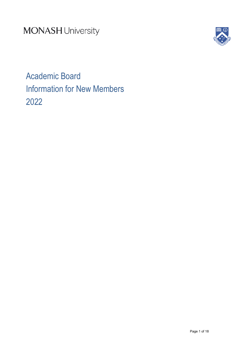**MONASH University** 



Academic Board Information for New Members 2022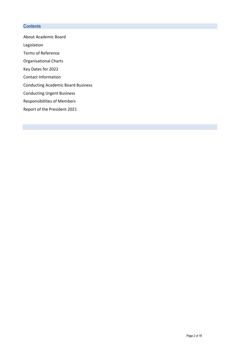# **Contents**

About Academic Board

Legislation

Terms of Reference

Organisational Charts

Key Dates for 2022

Contact Information

Conducting Academic Board Business

Conducting Urgent Business

Responsibilities of Members

Report of the President 2021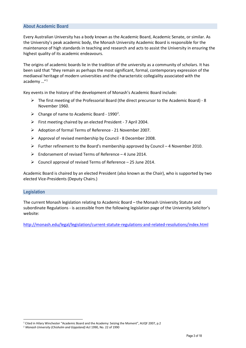# **About Academic Board**

Every Australian University has a body known as the Academic Board, Academic Senate, or similar. As the University's peak academic body, the Monash University Academic Board is responsible for the maintenance of high standards in teaching and research and acts to assist the University in ensuring the highest quality of its academic endeavours.

The origins of academic boards lie in the tradition of the university as a community of scholars. It has been said that "they remain as perhaps the most significant, formal, contemporary expression of the mediaeval heritage of modern universities and the characteristic collegiality associated with the academy …"[1](#page-2-0)

Key events in the history of the development of Monash's Academic Board include:

- $\triangleright$  The first meeting of the Professorial Board (the direct precursor to the Academic Board) 8 November 1960.
- $\triangleright$  Change of name to Academic Board 1990<sup>[2](#page-2-1)</sup>.
- $\triangleright$  First meeting chaired by an elected President 7 April 2004.
- Adoption of formal Terms of Reference 21 November 2007.
- $\triangleright$  Approval of revised membership by Council 8 December 2008.
- Further refinement to the Board's membership approved by Council 4 November 2010.
- $\triangleright$  Endorsement of revised Terms of Reference 4 June 2014.
- $\triangleright$  Council approval of revised Terms of Reference 25 June 2014.

Academic Board is chaired by an elected President (also known as the Chair), who is supported by two elected Vice-Presidents (Deputy Chairs.)

#### **Legislation**

-

The current Monash legislation relating to Academic Board – the Monash University Statute and subordinate Regulations - is accessible from the following legislation page of the University Solicitor's website:

<http://monash.edu/legal/legislation/current-statute-regulations-and-related-resolutions/index.html>

<span id="page-2-0"></span><sup>1</sup> Cited in Hilary Winchester "Academic Board and the Academy: Seizing the Moment", AUQF 2007, p.2

<span id="page-2-1"></span><sup>2</sup> *Monash University (Chisholm and Gippsland) Act* 1990, No. 22 of 1990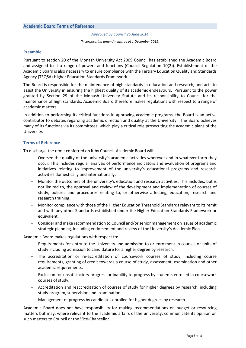## **Academic Board Terms of Reference**

*Approved by Council 25 June 2014*

#### *(incorporating amendments as at 1 December 2019)*

#### **Preamble**

Pursuant to section 20 of the Monash University Act 2009 Council has established the Academic Board and assigned to it a range of powers and functions (Council Regulation 10(2)). Establishment of the Academic Board is also necessary to ensure compliance with the Tertiary Education Quality and Standards Agency (TEQSA) Higher Education Standards Framework.

The Board is responsible for the maintenance of high standards in education and research, and acts to assist the University in ensuring the highest quality of its academic endeavours. Pursuant to the power granted by Section 29 of the Monash University Statute and its responsibility to Council for the maintenance of high standards, Academic Board therefore makes regulations with respect to a range of academic matters.

In addition to performing its critical functions in approving academic programs, the Board is an active contributor to debates regarding academic direction and quality at the University. The Board achieves many of its functions via its committees, which play a critical role prosecuting the academic plans of the University.

#### **Terms of Reference**

To discharge the remit conferred on it by Council, Academic Board will:

- Oversee the quality of the university's academic activities wherever and in whatever form they occur. This includes regular analysis of performance indicators and evaluation of programs and initiatives relating to improvement of the university's educational programs and research activities domestically and internationally.
- Monitor the outcomes of the university's education and research activities. This includes, but is not limited to, the approval and review of the development and implementation of courses of study, policies and procedures relating to, or otherwise affecting, education, research and research training.
- − Monitor compliance with those of the Higher Education Threshold Standards relevant to its remit and with any other Standards established under the Higher Education Standards Framework or equivalent.
- − Consider and make recommendation to Council and/or senior management on issues of academic strategic planning, including endorsement and review of the University's Academic Plan.

Academic Board makes regulations with respect to:

- Requirements for entry to the University and admission to or enrolment in courses or units of study including admission to candidature for a higher degree by research.
- − The accreditation or re-accreditation of coursework courses of study, including course requirements, granting of credit towards a course of study, assessment, examination and other academic requirements.
- Exclusion for unsatisfactory progress or inability to progress by students enrolled in coursework courses of study.
- − Accreditation and reaccreditation of courses of study for higher degrees by research, including study program, supervision and examination.
- − Management of progress by candidates enrolled for higher degrees by research.

Academic Board does not have responsibility for making recommendations on budget or resourcing matters but may, where relevant to the academic affairs of the university, communicate its opinion on such matters to Council or the Vice-Chancellor.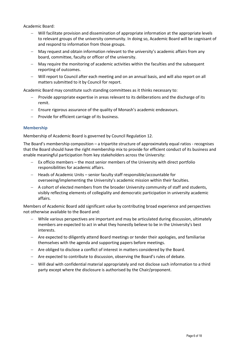Academic Board:

- − Will facilitate provision and dissemination of appropriate information at the appropriate levels to relevant groups of the university community. In doing so, Academic Board will be cognisant of and respond to information from those groups.
- May request and obtain information relevant to the university's academic affairs from any board, committee, faculty or officer of the university.
- − May require the monitoring of academic activities within the faculties and the subsequent reporting of outcomes.
- − Will report to Council after each meeting and on an annual basis, and will also report on all matters submitted to it by Council for report.

Academic Board may constitute such standing committees as it thinks necessary to:

- Provide appropriate expertise in areas relevant to its deliberations and the discharge of its remit.
- − Ensure rigorous assurance of the quality of Monash's academic endeavours.
- − Provide for efficient carriage of its business.

### **Membership**

Membership of Academic Board is governed by Council Regulation 12.

The Board's membership composition – a tripartite structure of approximately equal ratios - recognises that the Board should have the right membership mix to provide for efficient conduct of its business and enable meaningful participation from key stakeholders across the University:

- Ex officio members the most senior members of the University with direct portfolio responsibilities for academic affairs.
- − Heads of Academic Units senior faculty staff responsible/accountable for overseeing/implementing the University's academic mission within their faculties.
- − A cohort of elected members from the broader University community of staff and students, visibly reflecting elements of collegiality and democratic participation in university academic affairs.

Members of Academic Board add significant value by contributing broad experience and perspectives not otherwise available to the Board and:

- While various perspectives are important and may be articulated during discussion, ultimately members are expected to act in what they honestly believe to be in the University's best interests.
- − Are expected to diligently attend Board meetings or tender their apologies, and familiarise themselves with the agenda and supporting papers before meetings.
- − Are obliged to disclose a conflict of interest in matters considered by the Board.
- − Are expected to contribute to discussion, observing the Board's rules of debate.
- − Will deal with confidential material appropriately and not disclose such information to a third party except where the disclosure is authorised by the Chair/proponent.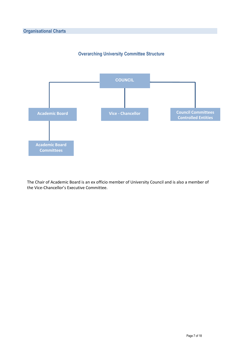



The Chair of Academic Board is an ex officio member of University Council and is also a member of the Vice-Chancellor's Executive Committee.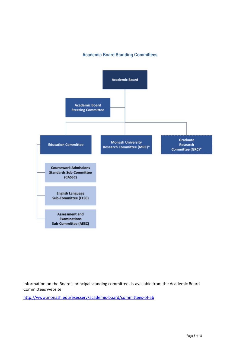# **Academic Board Standing Committees**



Information on the Board's principal standing committees is available from the Academic Board Committees website:

<http://www.monash.edu/execserv/academic-board/committees-of-ab>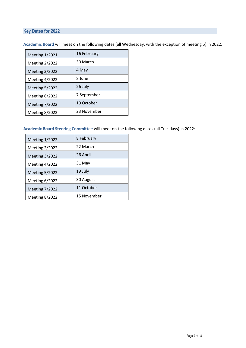# **Key Dates for 2022**

| 16 February |
|-------------|
| 30 March    |
| 4 May       |
| 8 June      |
| 26 July     |
| 7 September |
| 19 October  |
| 23 November |
|             |

**Academic Board** will meet on the following dates (all Wednesday, with the exception of meeting 5) in 2022:

## **Academic Board Steering Committee** will meet on the following dates (all Tuesdays) in 2022:

| <b>Meeting 1/2022</b> | 8 February  |
|-----------------------|-------------|
| <b>Meeting 2/2022</b> | 22 March    |
| <b>Meeting 3/2022</b> | 26 April    |
| Meeting $4/2022$      | 31 May      |
| <b>Meeting 5/2022</b> | 19 July     |
| Meeting $6/2022$      | 30 August   |
| <b>Meeting 7/2022</b> | 11 October  |
| Meeting 8/2022        | 15 November |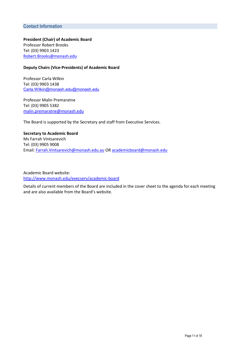# **Contact Information**

**President (Chair) of Academic Board** Professor Robert Brooks Tel: (03) 9903 1423 [Robert.Brooks@monash.edu](mailto:robert.brooks@monash.edu) 

#### **Deputy Chairs (Vice-Presidents) of Academic Board**

Professor Carla Wilkin Tel: (03) 9903 1438 [Carla.Wilkin@monash.edu@monash.edu](mailto:Carla.Wilkin@monash.edu)

Professor Malin Premaratne Tel: (03) 9905 5382 [malin.premaratne@monash.edu](mailto:christina.twomey@monash.edu)

The Board is supported by the Secretary and staff from Executive Services.

**Secretary to Academic Board** Ms Farrah Vintsarevich Tel: (03) 9905 9008 Email[: Farrah.Vintsarevich@monash.edu.au](mailto:Farrah.Vintsarevich@monash.edu.au) OR [academicboard@monash.edu](mailto:academicboard@monash.edu)

Academic Board website: <http://www.monash.edu/execserv/academic-board>

Details of current members of the Board are included in the cover sheet to the agenda for each meeting and are also available from the Board's website.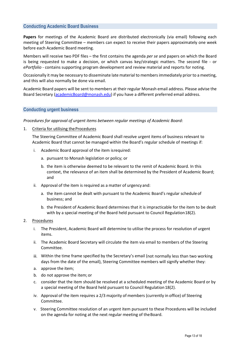# **Conducting Academic Board Business**

**Papers** for meetings of the Academic Board are distributed electronically (via email) following each meeting of Steering Committee – members can expect to receive their papers approximately one week before each Academic Board meeting.

Members will receive two PDF files – the first contains the agenda *per se* and papers on which the Board is being requested to make a decision, or which canvas key/strategic matters. The second file - or *ePortfolio -* contains supporting program development and review material and reports for noting.

Occasionally it may be necessary to disseminate late material to members immediately prior to a meeting, and this will also normally be done via email.

Academic Board papers will be sent to members at their regular Monash email address. Please advise the Board Secretary [\(academicBoard@monash.edu\)](mailto:academicBoard@monash.edu) if you have a different preferred email address.

### **Conducting urgent business**

#### *Procedures for approval of urgent items between regular meetings of Academic Board:*

1. Criteria for utilising the Procedures

The Steering Committee of Academic Board shall resolve urgent items of business relevant to Academic Board that cannot be managed within the Board's regular schedule of meetings if:

- i. Academic Board approval of the item isrequired:
	- a. pursuant to Monash legislation or policy; or
	- b. the item is otherwise deemed to be relevant to the remit of Academic Board. In this context, the relevance of an item shall be determined by the President of Academic Board; and
- ii. Approval of the item is required as a matter of urgency and:
	- a. the item cannot be dealt with pursuant to the Academic Board's regular scheduleof business; and
	- b. the President of Academic Board determines that it is impracticable for the item to be dealt with by a special meeting of the Board held pursuant to Council Regulation18(2).
- 2. Procedures
	- i. The President, Academic Board will determine to utilise the process for resolution of urgent items.
	- ii. The Academic Board Secretary will circulate the item via email to members of the Steering Committee.
	- iii. Within the time frame specified by the Secretary's email (not normally less than two working days from the date of the email), Steering Committee members will signify whether they:
	- a. approve the item;
	- b. do not approve the item; or
	- c. consider that the item should be resolved at a scheduled meeting of the Academic Board or by a special meeting of the Board held pursuant to Council Regulation 18(2).
	- iv. Approval of the item requires a 2/3 majority of members (currently in office) of Steering Committee.
	- v. Steering Committee resolution of an urgent item pursuant to these Procedures will be included on the agenda for noting at the next regular meeting of theBoard.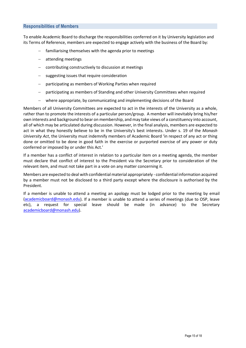### **Responsibilities of Members**

To enable Academic Board to discharge the responsibilities conferred on it by University legislation and its Terms of Reference, members are expected to engage actively with the business of the Board by:

- familiarising themselves with the agenda prior to meetings
- − attending meetings
- − contributing constructively to discussion at meetings
- suggesting issues that require consideration
- participating as members of Working Parties when required
- participating as members of Standing and other University Committees when required
- − where appropriate, by communicating and implementing decisions of the Board

Members of all University Committees are expected to act in the interests of the University as a whole, rather than to promote the interests of a particular person/group. A member will inevitably bring his/her own interests and background to bear on membership, and may take views of a constituency into account, all of which may be articulated during discussion. However, in the final analysis, members are expected to act in what they honestly believe to be in the University's best interests. Under s. 19 of the *Monash University Act*, the University must indemnify members of Academic Board 'in respect of any act or thing done or omitted to be done in good faith in the exercise or purported exercise of any power or duty conferred or imposed by or under this Act.'

If a member has a conflict of interest in relation to a particular item on a meeting agenda, the member must declare that conflict of interest to the President via the Secretary prior to consideration of the relevant item, and must not take part in a vote on any matter concerning it.

Members are expected to deal with confidential material appropriately - confidential information acquired by a member must not be disclosed to a third party except where the disclosure is authorised by the President.

If a member is unable to attend a meeting an apology must be lodged prior to the meeting by email [\(academicboard@monash.edu\)](mailto:academicboard@monash.edu). If a member is unable to attend a series of meetings (due to OSP, leave etc), a request for special leave should be made (in advance) to the Secretary [academicboard@monash.edu\)](mailto:academicboard@monash.edu).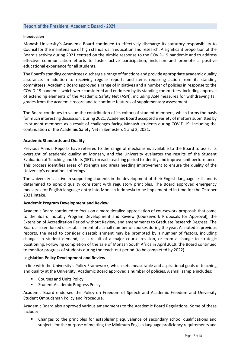# **Report of the President, Academic Board - 2021**

#### **Introduction**

Monash University's Academic Board continued to effectively discharge its statutory responsibility to Council for the maintenance of high standards in education and research. A significant proportion of the Board's activity during 2021 centred on the nimble response to the COVID-19 pandemic and to address effective communication efforts to foster active participation, inclusion and promote a positive educational experience for all students.

The Board's standing committees discharge a range of functions and provide appropriate academic quality assurance. In addition to receiving regular reports and items requiring action from its standing committees, Academic Board approved a range of initiatives and a number of policies in response to the COVID-19 pandemic which were considered and endorsed by its standing committees, including approval of extending elements of the Academic Safety Net (ASN), including ASN measures for withdrawing fail grades from the academic record and to continue features of supplementary assessment.

The Board continues to value the contribution of its cohort of student members, which forms the basis for much interesting discussion. During 2021, Academic Board accepted a variety of matters submitted by its student members as a result of challenges facing Monash students during COVID-19, including the continuation of the Academic Safety Net in Semesters 1 and 2, 2021.

#### **Academic Standards and Quality**

Previous Annual Reports have referred to the range of mechanisms available to the Board to assist its oversight of academic quality at Monash, and the University evaluates the results of the Student Evaluation of Teaching and Units (SETU) in each teaching period to identify and improve unit performance. This process identifies areas of strength and areas needing improvement to ensure the quality of the University's educational offerings.

The University is active in supporting students in the development of their English language skills and is determined to uphold quality consistent with regulatory principles. The Board approved emergency measures for English language entry into Monash Indonesia to be implemented in time for the October 2021 intake.

#### **Academic Program Development and Review**

Academic Board continued to focus on a more detailed appreciation of coursework proposals that come to the Board, notably Program Development and Review (Coursework Proposals for Approval), the Extension of Accreditation Period without Review, and amendments to Graduate Research Degrees. The Board also endorsed disestablishment of a small number of courses during the year. As noted in previous reports, the need to consider disestablishment may be prompted by a number of factors, including changes in student demand, as a result of a major course revision, or from a change to strategic positioning. Following completion of the sale of Monash South Africa in April 2019, the Board continued to monitor progress of students during the teach-out period (to be completed by 2022).

#### **Legislation Policy Development and Review**

In line with the University's Policy Framework, which sets measurable and aspirational goals of teaching and quality at the University, Academic Board approved a number of policies. A small sample includes:

- Courses and Units Policy
- **EXECUTE:** Student Academic Progress Policy

Academic Board endorsed the Policy on Freedom of Speech and Academic Freedom and University Student Ombudsman Policy and Procedure.

Academic Board also approved various amendments to the Academic Board Regulations. Some of these include:

 Changes to the principles for establishing equivalence of secondary school qualifications and subjects for the purpose of meeting the Minimum English language proficiency requirements and